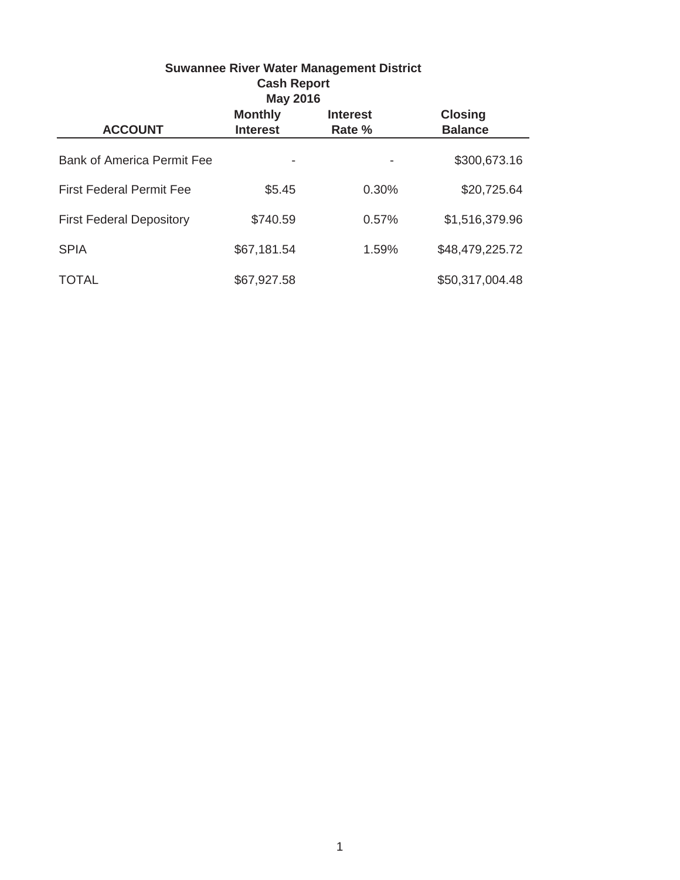| Suwannee River water Management District<br><b>Cash Report</b><br><b>May 2016</b> |                                   |                           |                                  |  |  |  |
|-----------------------------------------------------------------------------------|-----------------------------------|---------------------------|----------------------------------|--|--|--|
| <b>ACCOUNT</b>                                                                    | <b>Monthly</b><br><b>Interest</b> | <b>Interest</b><br>Rate % | <b>Closing</b><br><b>Balance</b> |  |  |  |
| <b>Bank of America Permit Fee</b>                                                 |                                   |                           | \$300,673.16                     |  |  |  |
| <b>First Federal Permit Fee</b>                                                   | \$5.45                            | 0.30%                     | \$20,725.64                      |  |  |  |
| <b>First Federal Depository</b>                                                   | \$740.59                          | 0.57%                     | \$1,516,379.96                   |  |  |  |
| <b>SPIA</b>                                                                       | \$67,181.54                       | 1.59%                     | \$48,479,225.72                  |  |  |  |
| <b>TOTAL</b>                                                                      | \$67,927.58                       |                           | \$50,317,004.48                  |  |  |  |

# **Suwannee River Water Management District**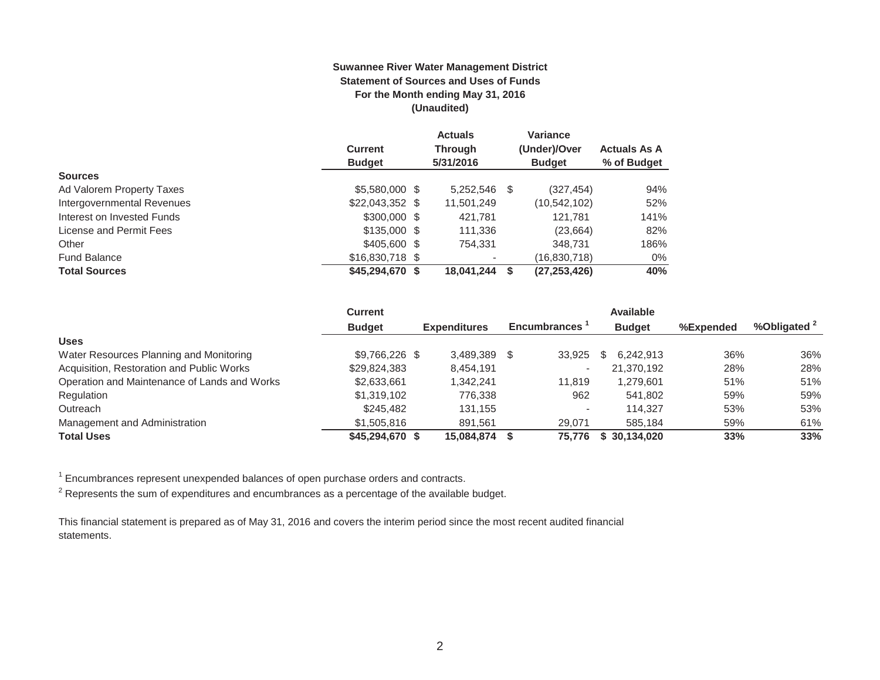#### **Suwannee River Water Management District Statement of Sources and Uses of Funds For the Month ending May 31, 2016 (Unaudited)**

|                            |                  | <b>Actuals</b>           |   | <b>Variance</b> |                     |
|----------------------------|------------------|--------------------------|---|-----------------|---------------------|
|                            | <b>Current</b>   | <b>Through</b>           |   | (Under)/Over    | <b>Actuals As A</b> |
|                            | <b>Budget</b>    | 5/31/2016                |   | <b>Budget</b>   | % of Budget         |
| <b>Sources</b>             |                  |                          |   |                 |                     |
| Ad Valorem Property Taxes  | \$5,580,000 \$   | 5,252,546                | S | (327, 454)      | 94%                 |
| Intergovernmental Revenues | $$22,043,352$ \$ | 11,501,249               |   | (10, 542, 102)  | 52%                 |
| Interest on Invested Funds | $$300,000$ \$    | 421,781                  |   | 121.781         | 141%                |
| License and Permit Fees    | $$135,000$ \$    | 111,336                  |   | (23,664)        | 82%                 |
| Other                      | \$405,600 \$     | 754.331                  |   | 348.731         | 186%                |
| <b>Fund Balance</b>        | \$16,830,718 \$  | $\overline{\phantom{0}}$ |   | (16,830,718)    | 0%                  |
| <b>Total Sources</b>       | $$45,294,670$ \$ | 18,041,244               |   | (27, 253, 426)  | 40%                 |

|                                              | <b>Current</b>  | <b>Available</b> |                     |   |                     |    |               |           |              |
|----------------------------------------------|-----------------|------------------|---------------------|---|---------------------|----|---------------|-----------|--------------|
|                                              | <b>Budget</b>   |                  | <b>Expenditures</b> |   | <b>Encumbrances</b> |    | <b>Budget</b> | %Expended | %Obligated 2 |
| <b>Uses</b>                                  |                 |                  |                     |   |                     |    |               |           |              |
| Water Resources Planning and Monitoring      | \$9,766,226 \$  |                  | 3.489.389           | S | 33.925              | S. | 6.242.913     | 36%       | 36%          |
| Acquisition, Restoration and Public Works    | \$29,824,383    |                  | 8,454,191           |   |                     |    | 21,370,192    | 28%       | 28%          |
| Operation and Maintenance of Lands and Works | \$2,633,661     |                  | 1.342.241           |   | 11.819              |    | 1.279.601     | 51%       | 51%          |
| Regulation                                   | \$1.319.102     |                  | 776.338             |   | 962                 |    | 541.802       | 59%       | 59%          |
| Outreach                                     | \$245,482       |                  | 131.155             |   |                     |    | 114.327       | 53%       | 53%          |
| Management and Administration                | \$1,505,816     |                  | 891.561             |   | 29.071              |    | 585.184       | 59%       | 61%          |
| <b>Total Uses</b>                            | \$45,294,670 \$ |                  | 15,084,874          |   | 75.776              |    | \$30,134,020  | 33%       | 33%          |

 $1$  Encumbrances represent unexpended balances of open purchase orders and contracts.

 $2$  Represents the sum of expenditures and encumbrances as a percentage of the available budget.

This financial statement is prepared as of May 31, 2016 and covers the interim period since the most recent audited financial statements.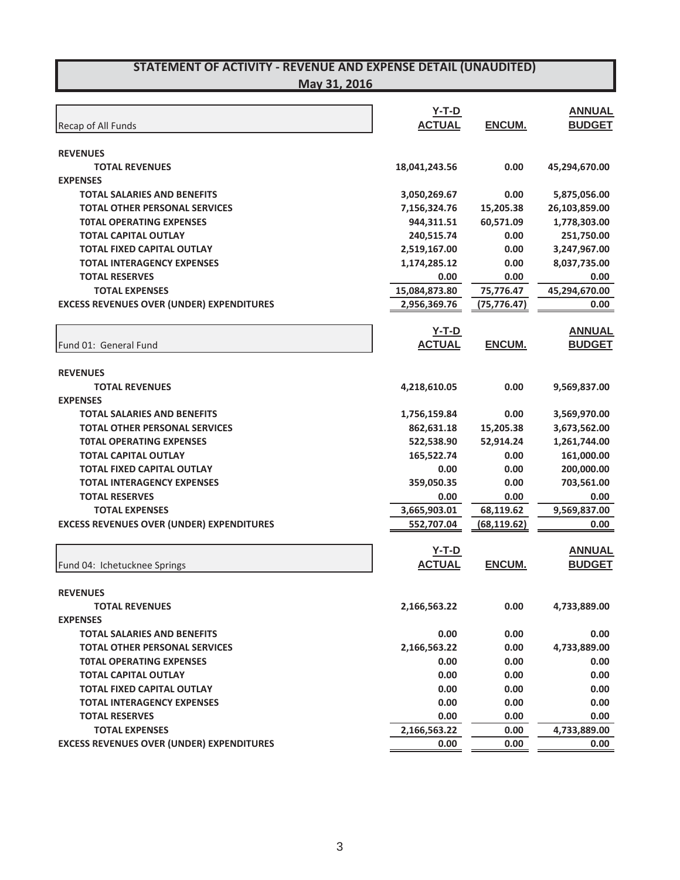| Recap of All Funds                               | <b>Y-T-D</b><br><b>ACTUAL</b> | ENCUM.       | <b>ANNUAL</b><br><b>BUDGET</b> |
|--------------------------------------------------|-------------------------------|--------------|--------------------------------|
|                                                  |                               |              |                                |
| <b>REVENUES</b>                                  |                               |              |                                |
| <b>TOTAL REVENUES</b><br><b>EXPENSES</b>         | 18,041,243.56                 | 0.00         | 45,294,670.00                  |
| <b>TOTAL SALARIES AND BENEFITS</b>               |                               | 0.00         |                                |
| <b>TOTAL OTHER PERSONAL SERVICES</b>             | 3,050,269.67<br>7,156,324.76  | 15,205.38    | 5,875,056.00<br>26,103,859.00  |
| <b>TOTAL OPERATING EXPENSES</b>                  | 944,311.51                    | 60,571.09    | 1,778,303.00                   |
| <b>TOTAL CAPITAL OUTLAY</b>                      | 240,515.74                    | 0.00         | 251,750.00                     |
| <b>TOTAL FIXED CAPITAL OUTLAY</b>                | 2,519,167.00                  | 0.00         | 3,247,967.00                   |
| <b>TOTAL INTERAGENCY EXPENSES</b>                | 1,174,285.12                  | 0.00         | 8,037,735.00                   |
| <b>TOTAL RESERVES</b>                            | 0.00                          | 0.00         | 0.00                           |
| <b>TOTAL EXPENSES</b>                            | 15,084,873.80                 | 75,776.47    | 45,294,670.00                  |
| <b>EXCESS REVENUES OVER (UNDER) EXPENDITURES</b> | 2,956,369.76                  | (75, 776.47) | 0.00                           |
|                                                  |                               |              |                                |
|                                                  | $Y-T-D$                       |              | <b>ANNUAL</b>                  |
| Fund 01: General Fund                            | <b>ACTUAL</b>                 | ENCUM.       | <b>BUDGET</b>                  |
|                                                  |                               |              |                                |
| <b>REVENUES</b>                                  |                               |              |                                |
| <b>TOTAL REVENUES</b>                            | 4,218,610.05                  | 0.00         | 9,569,837.00                   |
| <b>EXPENSES</b>                                  |                               |              |                                |
| <b>TOTAL SALARIES AND BENEFITS</b>               | 1,756,159.84                  | 0.00         | 3,569,970.00                   |
| <b>TOTAL OTHER PERSONAL SERVICES</b>             | 862,631.18                    | 15,205.38    | 3,673,562.00                   |
| <b>TOTAL OPERATING EXPENSES</b>                  | 522,538.90                    | 52,914.24    | 1,261,744.00                   |
| <b>TOTAL CAPITAL OUTLAY</b>                      | 165,522.74                    | 0.00         | 161,000.00                     |
| <b>TOTAL FIXED CAPITAL OUTLAY</b>                | 0.00                          | 0.00         | 200,000.00                     |
| <b>TOTAL INTERAGENCY EXPENSES</b>                | 359,050.35                    | 0.00         | 703,561.00                     |
| <b>TOTAL RESERVES</b>                            | 0.00                          | 0.00         | 0.00                           |
| <b>TOTAL EXPENSES</b>                            | 3,665,903.01                  | 68,119.62    | 9,569,837.00                   |
| <b>EXCESS REVENUES OVER (UNDER) EXPENDITURES</b> | 552,707.04                    | (68, 119.62) | 0.00                           |
|                                                  | $Y-T-D$                       |              | <b>ANNUAL</b>                  |
| Fund 04: Ichetucknee Springs                     | <b>ACTUAL</b>                 | ENCUM.       | <b>BUDGET</b>                  |
|                                                  |                               |              |                                |
| <b>REVENUES</b>                                  |                               |              |                                |
| <b>TOTAL REVENUES</b>                            | 2,166,563.22                  | 0.00         | 4,733,889.00                   |
| <b>EXPENSES</b>                                  |                               |              |                                |
| <b>TOTAL SALARIES AND BENEFITS</b>               | 0.00                          | 0.00         | 0.00                           |
| <b>TOTAL OTHER PERSONAL SERVICES</b>             | 2,166,563.22                  | 0.00         | 4,733,889.00                   |
| <b>TOTAL OPERATING EXPENSES</b>                  | 0.00                          | 0.00         | 0.00                           |
| <b>TOTAL CAPITAL OUTLAY</b>                      | 0.00                          | 0.00         | 0.00                           |
| <b>TOTAL FIXED CAPITAL OUTLAY</b>                | 0.00                          | 0.00         | 0.00                           |
| <b>TOTAL INTERAGENCY EXPENSES</b>                | 0.00                          | 0.00         | 0.00                           |
| <b>TOTAL RESERVES</b>                            | 0.00                          | 0.00         | 0.00                           |
| <b>TOTAL EXPENSES</b>                            | 2,166,563.22                  | 0.00         | 4,733,889.00                   |
| <b>EXCESS REVENUES OVER (UNDER) EXPENDITURES</b> | 0.00                          | 0.00         | 0.00                           |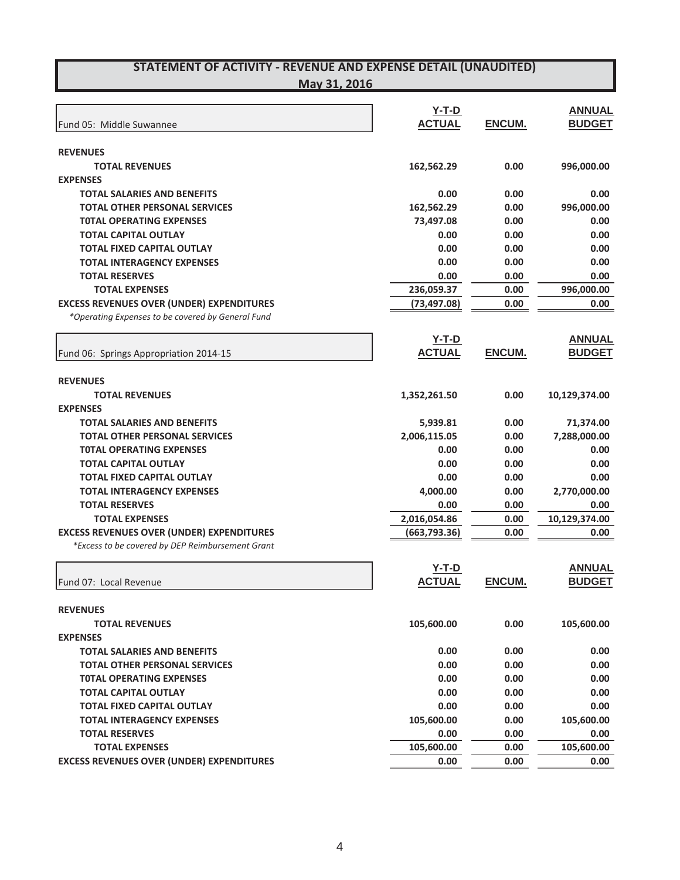**May 31, 2016**

| Fund 05: Middle Suwannee                                   | $Y-T-D$<br><b>ACTUAL</b> | ENCUM.        | <b>ANNUAL</b><br><b>BUDGET</b> |
|------------------------------------------------------------|--------------------------|---------------|--------------------------------|
|                                                            |                          |               |                                |
| <b>REVENUES</b>                                            |                          |               |                                |
| <b>TOTAL REVENUES</b>                                      | 162,562.29               | 0.00          | 996,000.00                     |
| <b>EXPENSES</b>                                            |                          |               |                                |
| <b>TOTAL SALARIES AND BENEFITS</b>                         | 0.00                     | 0.00          | 0.00                           |
| <b>TOTAL OTHER PERSONAL SERVICES</b>                       | 162,562.29               | 0.00          | 996,000.00                     |
| <b>TOTAL OPERATING EXPENSES</b>                            | 73,497.08                | 0.00          | 0.00                           |
| <b>TOTAL CAPITAL OUTLAY</b>                                | 0.00                     | 0.00          | 0.00                           |
| <b>TOTAL FIXED CAPITAL OUTLAY</b>                          | 0.00                     | 0.00          | 0.00                           |
| <b>TOTAL INTERAGENCY EXPENSES</b>                          | 0.00                     | 0.00          | 0.00                           |
| <b>TOTAL RESERVES</b>                                      | 0.00                     | 0.00          | 0.00                           |
| <b>TOTAL EXPENSES</b>                                      | 236,059.37               | 0.00          | 996,000.00                     |
| <b>EXCESS REVENUES OVER (UNDER) EXPENDITURES</b>           | (73, 497.08)             | 0.00          | 0.00                           |
| *Operating Expenses to be covered by General Fund          |                          |               |                                |
|                                                            | $Y-T-D$                  |               | <b>ANNUAL</b>                  |
| Fund 06: Springs Appropriation 2014-15                     | <b>ACTUAL</b>            | <b>ENCUM.</b> | <b>BUDGET</b>                  |
|                                                            |                          |               |                                |
| <b>REVENUES</b>                                            |                          |               |                                |
| <b>TOTAL REVENUES</b>                                      | 1,352,261.50             | 0.00          | 10,129,374.00                  |
| <b>EXPENSES</b>                                            |                          |               |                                |
| <b>TOTAL SALARIES AND BENEFITS</b>                         | 5,939.81                 | 0.00          | 71,374.00                      |
| <b>TOTAL OTHER PERSONAL SERVICES</b>                       | 2,006,115.05             | 0.00          | 7,288,000.00                   |
| <b>TOTAL OPERATING EXPENSES</b>                            | 0.00                     | 0.00          | 0.00                           |
| <b>TOTAL CAPITAL OUTLAY</b>                                | 0.00                     | 0.00          | 0.00                           |
| <b>TOTAL FIXED CAPITAL OUTLAY</b>                          | 0.00                     | 0.00          | 0.00                           |
| <b>TOTAL INTERAGENCY EXPENSES</b>                          | 4,000.00                 | 0.00          | 2,770,000.00                   |
| <b>TOTAL RESERVES</b>                                      | 0.00                     | 0.00          | 0.00                           |
| <b>TOTAL EXPENSES</b>                                      | 2,016,054.86             | 0.00          | 10,129,374.00                  |
| <b>EXCESS REVENUES OVER (UNDER) EXPENDITURES</b>           | (663, 793.36)            | 0.00          | 0.00                           |
| *Excess to be covered by DEP Reimbursement Grant           |                          |               |                                |
|                                                            |                          |               |                                |
|                                                            | $Y-T-D$                  |               | <b>ANNUAL</b>                  |
| Fund 07: Local Revenue                                     | <b>ACTUAL</b>            | ENCUM.        | <b>BUDGET</b>                  |
|                                                            |                          |               |                                |
| <b>REVENUES</b>                                            |                          |               |                                |
| <b>TOTAL REVENUES</b>                                      | 105,600.00               | 0.00          | 105,600.00                     |
| <b>EXPENSES</b>                                            |                          |               |                                |
| <b>TOTAL SALARIES AND BENEFITS</b>                         | 0.00                     | 0.00          | 0.00                           |
| <b>TOTAL OTHER PERSONAL SERVICES</b>                       | 0.00                     | 0.00          | 0.00                           |
| <b>TOTAL OPERATING EXPENSES</b>                            | 0.00                     | 0.00          | 0.00                           |
| <b>TOTAL CAPITAL OUTLAY</b>                                | 0.00                     | 0.00          | 0.00                           |
| <b>TOTAL FIXED CAPITAL OUTLAY</b>                          | 0.00                     | 0.00          | 0.00                           |
| <b>TOTAL INTERAGENCY EXPENSES</b><br><b>TOTAL RESERVES</b> | 105,600.00               | 0.00          | 105,600.00                     |
|                                                            | 0.00                     | 0.00          | 0.00                           |
| <b>TOTAL EXPENSES</b>                                      | 105,600.00               | 0.00          | 105,600.00                     |
| <b>EXCESS REVENUES OVER (UNDER) EXPENDITURES</b>           | 0.00                     | 0.00          | 0.00                           |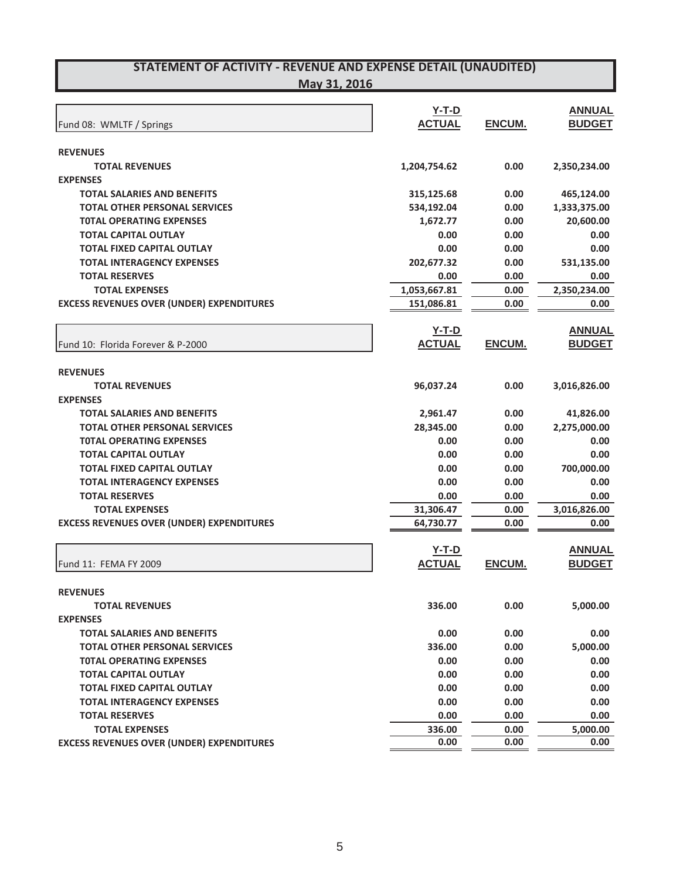|                                                  | $Y-T-D$       |        | <b>ANNUAL</b> |
|--------------------------------------------------|---------------|--------|---------------|
| Fund 08: WMLTF / Springs                         | <b>ACTUAL</b> | ENCUM. | <b>BUDGET</b> |
|                                                  |               |        |               |
| <b>REVENUES</b>                                  |               |        |               |
| <b>TOTAL REVENUES</b>                            | 1,204,754.62  | 0.00   | 2,350,234.00  |
| <b>EXPENSES</b>                                  |               |        |               |
| <b>TOTAL SALARIES AND BENEFITS</b>               | 315,125.68    | 0.00   | 465,124.00    |
| <b>TOTAL OTHER PERSONAL SERVICES</b>             | 534,192.04    | 0.00   | 1,333,375.00  |
| <b>TOTAL OPERATING EXPENSES</b>                  | 1,672.77      | 0.00   | 20,600.00     |
| <b>TOTAL CAPITAL OUTLAY</b>                      | 0.00          | 0.00   | 0.00          |
| <b>TOTAL FIXED CAPITAL OUTLAY</b>                | 0.00          | 0.00   | 0.00          |
| <b>TOTAL INTERAGENCY EXPENSES</b>                | 202,677.32    | 0.00   | 531,135.00    |
| <b>TOTAL RESERVES</b>                            | 0.00          | 0.00   | 0.00          |
| <b>TOTAL EXPENSES</b>                            | 1,053,667.81  | 0.00   | 2,350,234.00  |
| <b>EXCESS REVENUES OVER (UNDER) EXPENDITURES</b> | 151,086.81    | 0.00   | 0.00          |
|                                                  | <u>Y-T-D</u>  |        | <b>ANNUAL</b> |
| Fund 10: Florida Forever & P-2000                | <b>ACTUAL</b> | ENCUM. | <b>BUDGET</b> |
|                                                  |               |        |               |
| <b>REVENUES</b>                                  |               |        |               |
| <b>TOTAL REVENUES</b>                            | 96,037.24     | 0.00   | 3,016,826.00  |
| <b>EXPENSES</b>                                  |               |        |               |
| <b>TOTAL SALARIES AND BENEFITS</b>               | 2,961.47      | 0.00   | 41,826.00     |
| <b>TOTAL OTHER PERSONAL SERVICES</b>             | 28,345.00     | 0.00   | 2,275,000.00  |
| <b>TOTAL OPERATING EXPENSES</b>                  | 0.00          | 0.00   | 0.00          |
| <b>TOTAL CAPITAL OUTLAY</b>                      | 0.00          | 0.00   | 0.00          |
| <b>TOTAL FIXED CAPITAL OUTLAY</b>                | 0.00          | 0.00   | 700,000.00    |
| <b>TOTAL INTERAGENCY EXPENSES</b>                | 0.00          | 0.00   | 0.00          |
| <b>TOTAL RESERVES</b>                            | 0.00          | 0.00   | 0.00          |
| <b>TOTAL EXPENSES</b>                            | 31,306.47     | 0.00   | 3,016,826.00  |
| <b>EXCESS REVENUES OVER (UNDER) EXPENDITURES</b> | 64,730.77     | 0.00   | 0.00          |
|                                                  | $Y-T-D$       |        | <b>ANNUAL</b> |
| Fund 11: FEMA FY 2009                            | <b>ACTUAL</b> | ENCUM. | <b>BUDGET</b> |
|                                                  |               |        |               |
| <b>REVENUES</b>                                  |               |        |               |
| <b>TOTAL REVENUES</b>                            | 336.00        | 0.00   | 5,000.00      |
| <b>EXPENSES</b>                                  |               |        |               |
| <b>TOTAL SALARIES AND BENEFITS</b>               | 0.00          | 0.00   | 0.00          |
| <b>TOTAL OTHER PERSONAL SERVICES</b>             | 336.00        | 0.00   | 5,000.00      |
| <b>TOTAL OPERATING EXPENSES</b>                  | 0.00          | 0.00   | 0.00          |
| <b>TOTAL CAPITAL OUTLAY</b>                      | 0.00          | 0.00   | 0.00          |
| <b>TOTAL FIXED CAPITAL OUTLAY</b>                | 0.00          | 0.00   | 0.00          |
| <b>TOTAL INTERAGENCY EXPENSES</b>                | 0.00          | 0.00   | 0.00          |
| <b>TOTAL RESERVES</b>                            | 0.00          | 0.00   | 0.00          |
| <b>TOTAL EXPENSES</b>                            | 336.00        | 0.00   | 5,000.00      |
| <b>EXCESS REVENUES OVER (UNDER) EXPENDITURES</b> | 0.00          | 0.00   | 0.00          |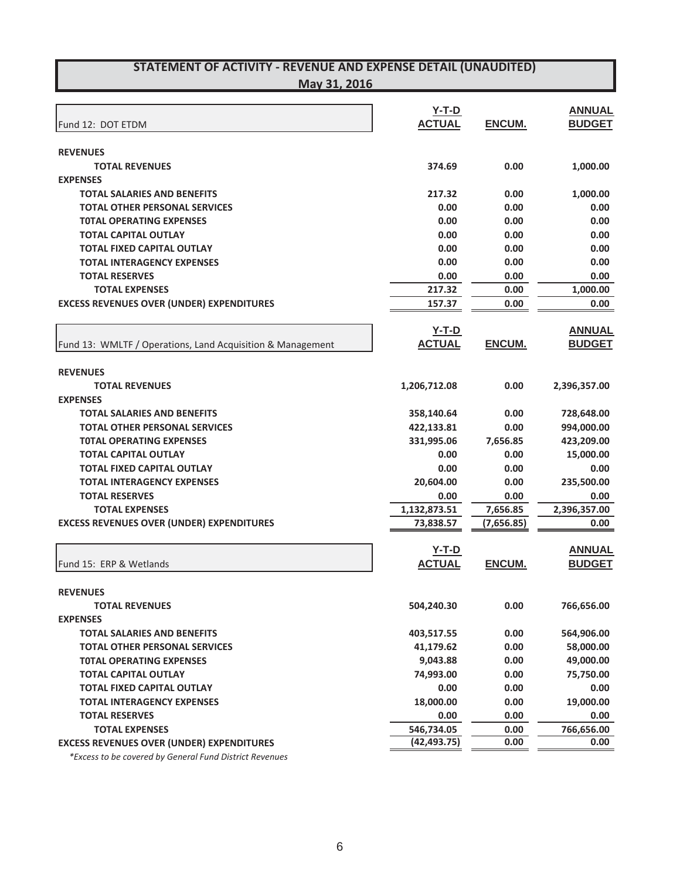**May 31, 2016**

|                                                            | $Y-T-D$       |            | <b>ANNUAL</b> |
|------------------------------------------------------------|---------------|------------|---------------|
| Fund 12: DOT ETDM                                          | <b>ACTUAL</b> | ENCUM.     | <b>BUDGET</b> |
|                                                            |               |            |               |
| <b>REVENUES</b>                                            |               |            |               |
| <b>TOTAL REVENUES</b>                                      | 374.69        | 0.00       | 1,000.00      |
| <b>EXPENSES</b>                                            |               |            |               |
| <b>TOTAL SALARIES AND BENEFITS</b>                         | 217.32        | 0.00       | 1,000.00      |
| <b>TOTAL OTHER PERSONAL SERVICES</b>                       | 0.00          | 0.00       | 0.00          |
| <b>TOTAL OPERATING EXPENSES</b>                            | 0.00          | 0.00       | 0.00          |
| <b>TOTAL CAPITAL OUTLAY</b>                                | 0.00          | 0.00       | 0.00          |
| <b>TOTAL FIXED CAPITAL OUTLAY</b>                          | 0.00          | 0.00       | 0.00          |
| <b>TOTAL INTERAGENCY EXPENSES</b>                          | 0.00          | 0.00       | 0.00          |
| <b>TOTAL RESERVES</b>                                      | 0.00          | 0.00       | 0.00          |
| <b>TOTAL EXPENSES</b>                                      | 217.32        | 0.00       | 1,000.00      |
| <b>EXCESS REVENUES OVER (UNDER) EXPENDITURES</b>           | 157.37        | 0.00       | 0.00          |
|                                                            |               |            |               |
|                                                            | $Y-T-D$       |            | <b>ANNUAL</b> |
| Fund 13: WMLTF / Operations, Land Acquisition & Management | <b>ACTUAL</b> | ENCUM.     | <b>BUDGET</b> |
|                                                            |               |            |               |
| <b>REVENUES</b>                                            |               |            |               |
| <b>TOTAL REVENUES</b>                                      | 1,206,712.08  | 0.00       |               |
|                                                            |               |            | 2,396,357.00  |
| <b>EXPENSES</b>                                            |               |            |               |
| <b>TOTAL SALARIES AND BENEFITS</b>                         | 358,140.64    | 0.00       | 728,648.00    |
| <b>TOTAL OTHER PERSONAL SERVICES</b>                       | 422,133.81    | 0.00       | 994,000.00    |
| <b>TOTAL OPERATING EXPENSES</b>                            | 331,995.06    | 7,656.85   | 423,209.00    |
| <b>TOTAL CAPITAL OUTLAY</b>                                | 0.00          | 0.00       | 15,000.00     |
| <b>TOTAL FIXED CAPITAL OUTLAY</b>                          | 0.00          | 0.00       | 0.00          |
| <b>TOTAL INTERAGENCY EXPENSES</b>                          | 20,604.00     | 0.00       | 235,500.00    |
| <b>TOTAL RESERVES</b>                                      | 0.00          | 0.00       | 0.00          |
| <b>TOTAL EXPENSES</b>                                      | 1,132,873.51  | 7,656.85   | 2,396,357.00  |
| <b>EXCESS REVENUES OVER (UNDER) EXPENDITURES</b>           | 73,838.57     | (7,656.85) | 0.00          |
|                                                            |               |            |               |
|                                                            | $Y-T-D$       |            | <b>ANNUAL</b> |
| Fund 15: ERP & Wetlands                                    | <b>ACTUAL</b> | ENCUM.     | <b>BUDGET</b> |
|                                                            |               |            |               |
| <b>REVENUES</b>                                            |               |            |               |
| <b>TOTAL REVENUES</b>                                      | 504,240.30    | 0.00       | 766,656.00    |
| <b>EXPENSES</b>                                            |               |            |               |
| <b>TOTAL SALARIES AND BENEFITS</b>                         | 403,517.55    | 0.00       | 564,906.00    |
| <b>TOTAL OTHER PERSONAL SERVICES</b>                       | 41,179.62     | 0.00       | 58,000.00     |
| <b>TOTAL OPERATING EXPENSES</b>                            | 9,043.88      | 0.00       | 49,000.00     |
| <b>TOTAL CAPITAL OUTLAY</b>                                | 74,993.00     | 0.00       | 75,750.00     |
| <b>TOTAL FIXED CAPITAL OUTLAY</b>                          | 0.00          | 0.00       | 0.00          |
| <b>TOTAL INTERAGENCY EXPENSES</b>                          | 18,000.00     | 0.00       | 19,000.00     |
| <b>TOTAL RESERVES</b>                                      | 0.00          | 0.00       | 0.00          |
| <b>TOTAL EXPENSES</b>                                      | 546,734.05    | 0.00       | 766,656.00    |
| <b>EXCESS REVENUES OVER (UNDER) EXPENDITURES</b>           | (42, 493.75)  | 0.00       | 0.00          |
|                                                            |               |            |               |

*\*Excess to be covered by General Fund District Revenues*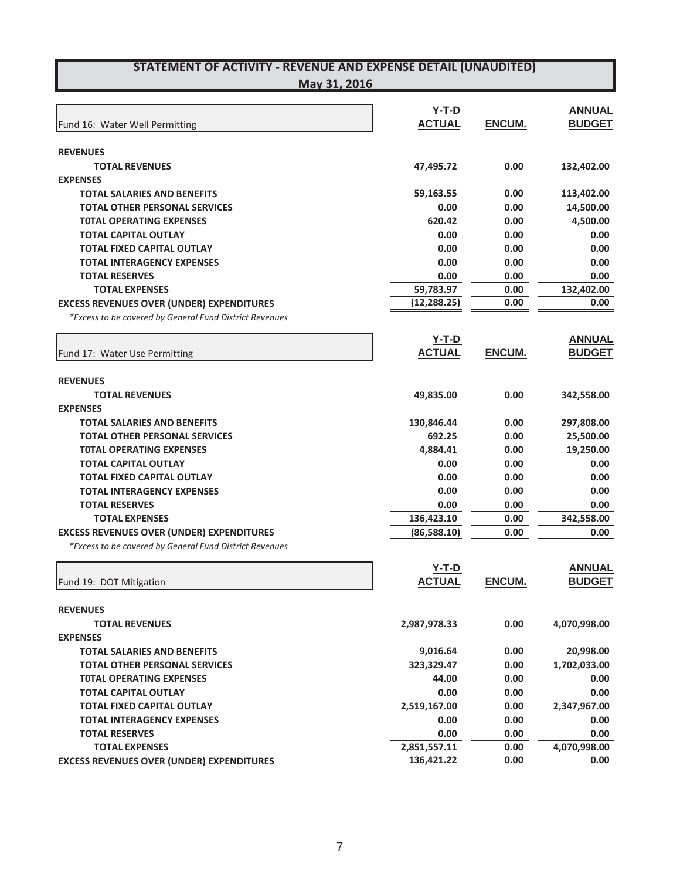**May 31, 2016**

|                                                         | $Y-T-D$       |        | <b>ANNUAL</b> |
|---------------------------------------------------------|---------------|--------|---------------|
| Fund 16: Water Well Permitting                          | <b>ACTUAL</b> | ENCUM. | <b>BUDGET</b> |
|                                                         |               |        |               |
| <b>REVENUES</b>                                         |               |        |               |
| <b>TOTAL REVENUES</b>                                   | 47,495.72     | 0.00   | 132,402.00    |
| <b>EXPENSES</b>                                         |               |        |               |
| <b>TOTAL SALARIES AND BENEFITS</b>                      | 59,163.55     | 0.00   | 113,402.00    |
| <b>TOTAL OTHER PERSONAL SERVICES</b>                    | 0.00          | 0.00   | 14,500.00     |
| <b>TOTAL OPERATING EXPENSES</b>                         | 620.42        | 0.00   | 4,500.00      |
| <b>TOTAL CAPITAL OUTLAY</b>                             | 0.00          | 0.00   | 0.00          |
| <b>TOTAL FIXED CAPITAL OUTLAY</b>                       | 0.00          | 0.00   | 0.00          |
| <b>TOTAL INTERAGENCY EXPENSES</b>                       | 0.00          | 0.00   | 0.00          |
| <b>TOTAL RESERVES</b>                                   | 0.00          | 0.00   | 0.00          |
| <b>TOTAL EXPENSES</b>                                   | 59,783.97     | 0.00   | 132,402.00    |
| <b>EXCESS REVENUES OVER (UNDER) EXPENDITURES</b>        | (12, 288.25)  | 0.00   | 0.00          |
| *Excess to be covered by General Fund District Revenues |               |        |               |
|                                                         | $Y-T-D$       |        | <b>ANNUAL</b> |
| Fund 17: Water Use Permitting                           | <b>ACTUAL</b> | ENCUM. | <b>BUDGET</b> |
|                                                         |               |        |               |
| <b>REVENUES</b>                                         |               |        |               |
| <b>TOTAL REVENUES</b>                                   | 49,835.00     | 0.00   | 342,558.00    |
| <b>EXPENSES</b>                                         |               |        |               |
| <b>TOTAL SALARIES AND BENEFITS</b>                      | 130,846.44    | 0.00   | 297,808.00    |
| <b>TOTAL OTHER PERSONAL SERVICES</b>                    | 692.25        | 0.00   | 25,500.00     |
| <b>TOTAL OPERATING EXPENSES</b>                         | 4,884.41      | 0.00   | 19,250.00     |
| <b>TOTAL CAPITAL OUTLAY</b>                             | 0.00          | 0.00   | 0.00          |
| <b>TOTAL FIXED CAPITAL OUTLAY</b>                       | 0.00          | 0.00   | 0.00          |
| <b>TOTAL INTERAGENCY EXPENSES</b>                       | 0.00          | 0.00   | 0.00          |
| <b>TOTAL RESERVES</b>                                   | 0.00          | 0.00   | 0.00          |
| <b>TOTAL EXPENSES</b>                                   | 136,423.10    | 0.00   | 342,558.00    |
| <b>EXCESS REVENUES OVER (UNDER) EXPENDITURES</b>        | (86,588.10)   | 0.00   | 0.00          |
| *Excess to be covered by General Fund District Revenues |               |        |               |
|                                                         | $Y-T-D$       |        | <b>ANNUAL</b> |
| Fund 19: DOT Mitigation                                 | <b>ACTUAL</b> | ENCUM. | <b>BUDGET</b> |
|                                                         |               |        |               |
| <b>REVENUES</b>                                         |               |        |               |
| <b>TOTAL REVENUES</b>                                   | 2,987,978.33  | 0.00   | 4,070,998.00  |
| <b>EXPENSES</b>                                         |               |        |               |
| <b>TOTAL SALARIES AND BENEFITS</b>                      | 9,016.64      | 0.00   | 20,998.00     |
| <b>TOTAL OTHER PERSONAL SERVICES</b>                    | 323,329.47    | 0.00   | 1,702,033.00  |
| <b>TOTAL OPERATING EXPENSES</b>                         | 44.00         | 0.00   | 0.00          |
| <b>TOTAL CAPITAL OUTLAY</b>                             | 0.00          | 0.00   | 0.00          |
| <b>TOTAL FIXED CAPITAL OUTLAY</b>                       | 2,519,167.00  | 0.00   | 2,347,967.00  |
| <b>TOTAL INTERAGENCY EXPENSES</b>                       | 0.00          | 0.00   | 0.00          |
| <b>TOTAL RESERVES</b>                                   | 0.00          | 0.00   | 0.00          |
| <b>TOTAL EXPENSES</b>                                   | 2,851,557.11  | 0.00   | 4,070,998.00  |
| <b>EXCESS REVENUES OVER (UNDER) EXPENDITURES</b>        | 136,421.22    | 0.00   | 0.00          |
|                                                         |               |        |               |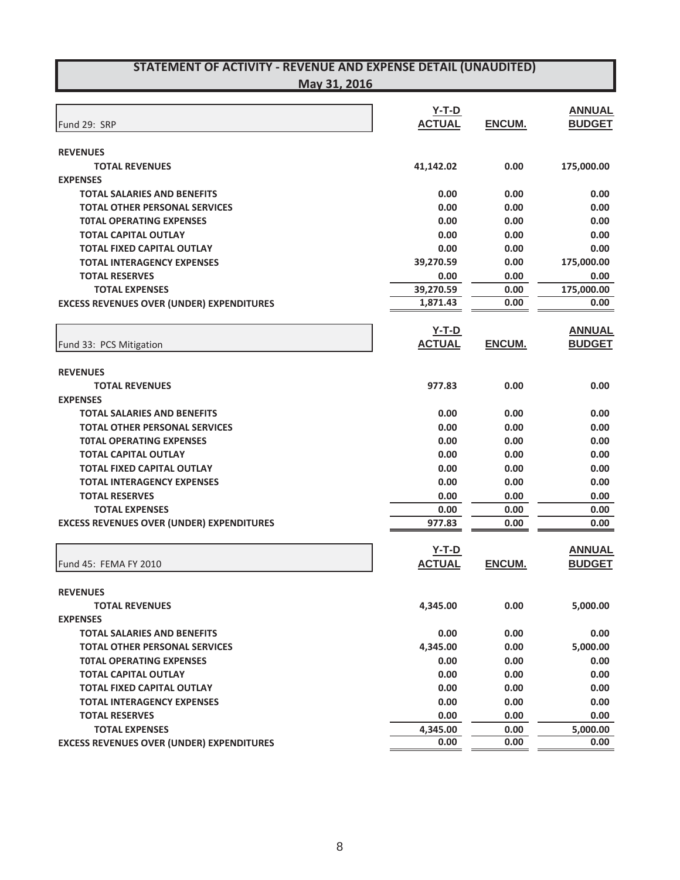| Fund 29: SRP                                     | $Y-T-D$<br><b>ACTUAL</b> | ENCUM.        | <b>ANNUAL</b><br><b>BUDGET</b> |
|--------------------------------------------------|--------------------------|---------------|--------------------------------|
| <b>REVENUES</b>                                  |                          |               |                                |
| <b>TOTAL REVENUES</b>                            | 41,142.02                | 0.00          | 175,000.00                     |
| <b>EXPENSES</b>                                  |                          |               |                                |
| <b>TOTAL SALARIES AND BENEFITS</b>               | 0.00                     | 0.00          | 0.00                           |
| <b>TOTAL OTHER PERSONAL SERVICES</b>             | 0.00                     | 0.00          | 0.00                           |
| <b>TOTAL OPERATING EXPENSES</b>                  | 0.00                     | 0.00          | 0.00                           |
| <b>TOTAL CAPITAL OUTLAY</b>                      | 0.00                     | 0.00          | 0.00                           |
| <b>TOTAL FIXED CAPITAL OUTLAY</b>                | 0.00                     | 0.00          | 0.00                           |
| <b>TOTAL INTERAGENCY EXPENSES</b>                | 39,270.59                | 0.00          | 175,000.00                     |
| <b>TOTAL RESERVES</b>                            | 0.00                     | 0.00          | 0.00                           |
| <b>TOTAL EXPENSES</b>                            | 39,270.59                | 0.00          | 175,000.00                     |
| <b>EXCESS REVENUES OVER (UNDER) EXPENDITURES</b> | 1,871.43                 | 0.00          | 0.00                           |
|                                                  |                          |               |                                |
| Fund 33: PCS Mitigation                          | $Y-T-D$<br><b>ACTUAL</b> | <b>ENCUM.</b> | <b>ANNUAL</b><br><b>BUDGET</b> |
|                                                  |                          |               |                                |
| <b>REVENUES</b>                                  |                          |               |                                |
| <b>TOTAL REVENUES</b>                            | 977.83                   | 0.00          | 0.00                           |
| <b>EXPENSES</b>                                  |                          |               |                                |
| <b>TOTAL SALARIES AND BENEFITS</b>               | 0.00                     | 0.00          | 0.00                           |
| <b>TOTAL OTHER PERSONAL SERVICES</b>             | 0.00                     | 0.00          | 0.00                           |
| <b>TOTAL OPERATING EXPENSES</b>                  | 0.00                     | 0.00          | 0.00                           |
| <b>TOTAL CAPITAL OUTLAY</b>                      | 0.00                     | 0.00          | 0.00                           |
| <b>TOTAL FIXED CAPITAL OUTLAY</b>                | 0.00                     | 0.00          | 0.00                           |
| <b>TOTAL INTERAGENCY EXPENSES</b>                | 0.00                     | 0.00          | 0.00                           |
| <b>TOTAL RESERVES</b>                            | 0.00                     | 0.00          | 0.00                           |
| <b>TOTAL EXPENSES</b>                            | 0.00                     | 0.00          | 0.00                           |
| <b>EXCESS REVENUES OVER (UNDER) EXPENDITURES</b> | 977.83                   | 0.00          | 0.00                           |
|                                                  | $Y-T-D$                  |               | <b>ANNUAL</b>                  |
| Fund 45: FEMA FY 2010                            | <b>ACTUAL</b>            | ENCUM.        | <b>BUDGET</b>                  |
|                                                  |                          |               |                                |
| <b>REVENUES</b>                                  |                          |               |                                |
| <b>TOTAL REVENUES</b>                            | 4,345.00                 | 0.00          | 5,000.00                       |
| <b>EXPENSES</b>                                  |                          |               |                                |
| <b>TOTAL SALARIES AND BENEFITS</b>               | 0.00                     | 0.00          | 0.00                           |
| <b>TOTAL OTHER PERSONAL SERVICES</b>             | 4,345.00                 | 0.00          | 5,000.00                       |
| <b>TOTAL OPERATING EXPENSES</b>                  | 0.00                     | 0.00          | 0.00                           |
| <b>TOTAL CAPITAL OUTLAY</b>                      | 0.00                     | 0.00          | 0.00                           |
| <b>TOTAL FIXED CAPITAL OUTLAY</b>                | 0.00                     | 0.00          | 0.00                           |
| <b>TOTAL INTERAGENCY EXPENSES</b>                | 0.00                     | 0.00          | 0.00                           |
| <b>TOTAL RESERVES</b>                            | 0.00                     | 0.00          | 0.00                           |
| <b>TOTAL EXPENSES</b>                            | 4,345.00                 | 0.00          | 5,000.00                       |
| <b>EXCESS REVENUES OVER (UNDER) EXPENDITURES</b> | 0.00                     | 0.00          | 0.00                           |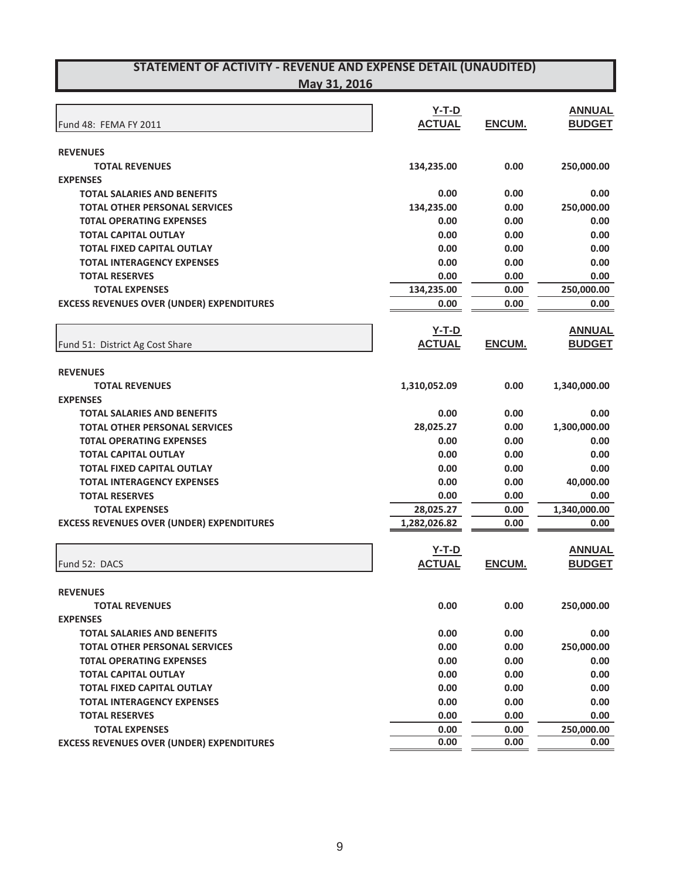|                                                  | $Y-T-D$       |        | <b>ANNUAL</b> |
|--------------------------------------------------|---------------|--------|---------------|
| Fund 48: FEMA FY 2011                            | <b>ACTUAL</b> | ENCUM. | <b>BUDGET</b> |
|                                                  |               |        |               |
| <b>REVENUES</b>                                  |               |        |               |
| <b>TOTAL REVENUES</b>                            | 134,235.00    | 0.00   | 250,000.00    |
| <b>EXPENSES</b>                                  |               |        |               |
| <b>TOTAL SALARIES AND BENEFITS</b>               | 0.00          | 0.00   | 0.00          |
| <b>TOTAL OTHER PERSONAL SERVICES</b>             | 134,235.00    | 0.00   | 250,000.00    |
| <b>TOTAL OPERATING EXPENSES</b>                  | 0.00          | 0.00   | 0.00          |
| <b>TOTAL CAPITAL OUTLAY</b>                      | 0.00          | 0.00   | 0.00          |
| <b>TOTAL FIXED CAPITAL OUTLAY</b>                | 0.00          | 0.00   | 0.00          |
| <b>TOTAL INTERAGENCY EXPENSES</b>                | 0.00          | 0.00   | 0.00          |
| <b>TOTAL RESERVES</b>                            | 0.00          | 0.00   | 0.00          |
| <b>TOTAL EXPENSES</b>                            | 134,235.00    | 0.00   | 250,000.00    |
| <b>EXCESS REVENUES OVER (UNDER) EXPENDITURES</b> | 0.00          | 0.00   | 0.00          |
|                                                  | $Y-T-D$       |        | <b>ANNUAL</b> |
| Fund 51: District Ag Cost Share                  | <b>ACTUAL</b> | ENCUM. | <b>BUDGET</b> |
|                                                  |               |        |               |
| <b>REVENUES</b>                                  |               |        |               |
| <b>TOTAL REVENUES</b>                            | 1,310,052.09  | 0.00   | 1,340,000.00  |
| <b>EXPENSES</b>                                  |               |        |               |
| <b>TOTAL SALARIES AND BENEFITS</b>               | 0.00          | 0.00   | 0.00          |
| <b>TOTAL OTHER PERSONAL SERVICES</b>             | 28,025.27     | 0.00   | 1,300,000.00  |
| <b>TOTAL OPERATING EXPENSES</b>                  | 0.00          | 0.00   | 0.00          |
| <b>TOTAL CAPITAL OUTLAY</b>                      | 0.00          | 0.00   | 0.00          |
| <b>TOTAL FIXED CAPITAL OUTLAY</b>                | 0.00          | 0.00   | 0.00          |
| <b>TOTAL INTERAGENCY EXPENSES</b>                | 0.00          | 0.00   | 40,000.00     |
| <b>TOTAL RESERVES</b>                            | 0.00          | 0.00   | 0.00          |
| <b>TOTAL EXPENSES</b>                            | 28,025.27     | 0.00   | 1,340,000.00  |
| <b>EXCESS REVENUES OVER (UNDER) EXPENDITURES</b> | 1,282,026.82  | 0.00   | 0.00          |
|                                                  | $Y-T-D$       |        | <b>ANNUAL</b> |
| Fund 52: DACS                                    | <b>ACTUAL</b> | ENCUM. | <b>BUDGET</b> |
|                                                  |               |        |               |
| <b>REVENUES</b>                                  |               |        |               |
| <b>TOTAL REVENUES</b>                            | 0.00          | 0.00   | 250,000.00    |
| <b>EXPENSES</b>                                  |               |        |               |
| <b>TOTAL SALARIES AND BENEFITS</b>               | 0.00          | 0.00   | 0.00          |
| <b>TOTAL OTHER PERSONAL SERVICES</b>             | 0.00          | 0.00   | 250,000.00    |
| <b>TOTAL OPERATING EXPENSES</b>                  | 0.00          | 0.00   | 0.00          |
| <b>TOTAL CAPITAL OUTLAY</b>                      | 0.00          | 0.00   | 0.00          |
| <b>TOTAL FIXED CAPITAL OUTLAY</b>                | 0.00          | 0.00   | 0.00          |
| <b>TOTAL INTERAGENCY EXPENSES</b>                | 0.00          | 0.00   | 0.00          |
| <b>TOTAL RESERVES</b>                            | 0.00          | 0.00   | 0.00          |
| <b>TOTAL EXPENSES</b>                            | 0.00          | 0.00   | 250,000.00    |
| <b>EXCESS REVENUES OVER (UNDER) EXPENDITURES</b> | 0.00          | 0.00   | 0.00          |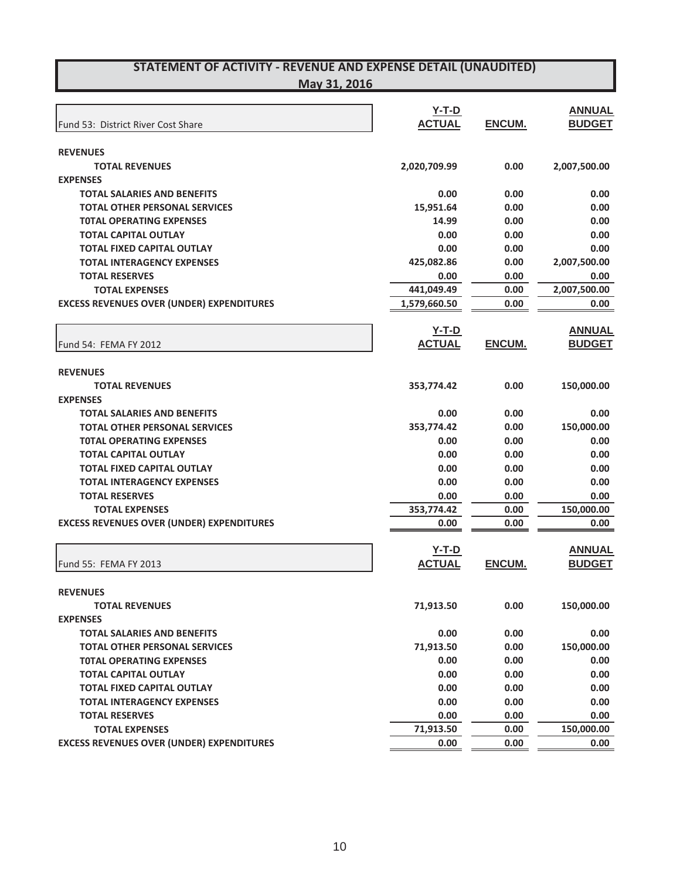| Fund 53: District River Cost Share               | $Y-T-D$<br><b>ACTUAL</b> | ENCUM. | <b>ANNUAL</b><br><b>BUDGET</b> |
|--------------------------------------------------|--------------------------|--------|--------------------------------|
|                                                  |                          |        |                                |
| <b>REVENUES</b>                                  |                          |        |                                |
| <b>TOTAL REVENUES</b>                            | 2,020,709.99             | 0.00   | 2,007,500.00                   |
| <b>EXPENSES</b>                                  |                          |        |                                |
| <b>TOTAL SALARIES AND BENEFITS</b>               | 0.00                     | 0.00   | 0.00                           |
| <b>TOTAL OTHER PERSONAL SERVICES</b>             | 15,951.64                | 0.00   | 0.00                           |
| <b>TOTAL OPERATING EXPENSES</b>                  | 14.99                    | 0.00   | 0.00                           |
| <b>TOTAL CAPITAL OUTLAY</b>                      | 0.00                     | 0.00   | 0.00                           |
| <b>TOTAL FIXED CAPITAL OUTLAY</b>                | 0.00                     | 0.00   | 0.00                           |
| <b>TOTAL INTERAGENCY EXPENSES</b>                | 425,082.86               | 0.00   | 2,007,500.00                   |
| <b>TOTAL RESERVES</b>                            | 0.00                     | 0.00   | 0.00                           |
| <b>TOTAL EXPENSES</b>                            | 441,049.49               | 0.00   | 2,007,500.00                   |
| <b>EXCESS REVENUES OVER (UNDER) EXPENDITURES</b> | 1,579,660.50             | 0.00   | 0.00                           |
|                                                  | $Y-T-D$                  |        | <b>ANNUAL</b>                  |
| Fund 54: FEMA FY 2012                            | <b>ACTUAL</b>            | ENCUM. | <b>BUDGET</b>                  |
| <b>REVENUES</b>                                  |                          |        |                                |
| <b>TOTAL REVENUES</b>                            | 353,774.42               | 0.00   | 150,000.00                     |
| <b>EXPENSES</b>                                  |                          |        |                                |
| <b>TOTAL SALARIES AND BENEFITS</b>               | 0.00                     | 0.00   | 0.00                           |
| <b>TOTAL OTHER PERSONAL SERVICES</b>             | 353,774.42               | 0.00   | 150,000.00                     |
| <b>TOTAL OPERATING EXPENSES</b>                  | 0.00                     | 0.00   | 0.00                           |
| <b>TOTAL CAPITAL OUTLAY</b>                      | 0.00                     | 0.00   | 0.00                           |
| <b>TOTAL FIXED CAPITAL OUTLAY</b>                | 0.00                     | 0.00   | 0.00                           |
| <b>TOTAL INTERAGENCY EXPENSES</b>                | 0.00                     | 0.00   | 0.00                           |
| <b>TOTAL RESERVES</b>                            | 0.00                     | 0.00   | 0.00                           |
| <b>TOTAL EXPENSES</b>                            | 353,774.42               | 0.00   | 150,000.00                     |
| <b>EXCESS REVENUES OVER (UNDER) EXPENDITURES</b> | 0.00                     | 0.00   | 0.00                           |
|                                                  |                          |        |                                |
|                                                  | $Y-T-D$                  |        | <b>ANNUAL</b>                  |
| Fund 55: FEMA FY 2013                            | <b>ACTUAL</b>            | ENCUM. | <b>BUDGET</b>                  |
| <b>REVENUES</b>                                  |                          |        |                                |
| <b>TOTAL REVENUES</b>                            | 71,913.50                | 0.00   | 150,000.00                     |
| <b>EXPENSES</b>                                  |                          |        |                                |
| <b>TOTAL SALARIES AND BENEFITS</b>               | 0.00                     | 0.00   | 0.00                           |
| <b>TOTAL OTHER PERSONAL SERVICES</b>             | 71,913.50                | 0.00   | 150,000.00                     |
| <b>TOTAL OPERATING EXPENSES</b>                  | 0.00                     | 0.00   | 0.00                           |
| <b>TOTAL CAPITAL OUTLAY</b>                      | 0.00                     | 0.00   | 0.00                           |
| <b>TOTAL FIXED CAPITAL OUTLAY</b>                | 0.00                     | 0.00   | 0.00                           |
| <b>TOTAL INTERAGENCY EXPENSES</b>                | 0.00                     | 0.00   | 0.00                           |
| <b>TOTAL RESERVES</b>                            | 0.00                     | 0.00   | 0.00                           |
| <b>TOTAL EXPENSES</b>                            | 71,913.50                | 0.00   | 150,000.00                     |
| <b>EXCESS REVENUES OVER (UNDER) EXPENDITURES</b> | 0.00                     | 0.00   | 0.00                           |